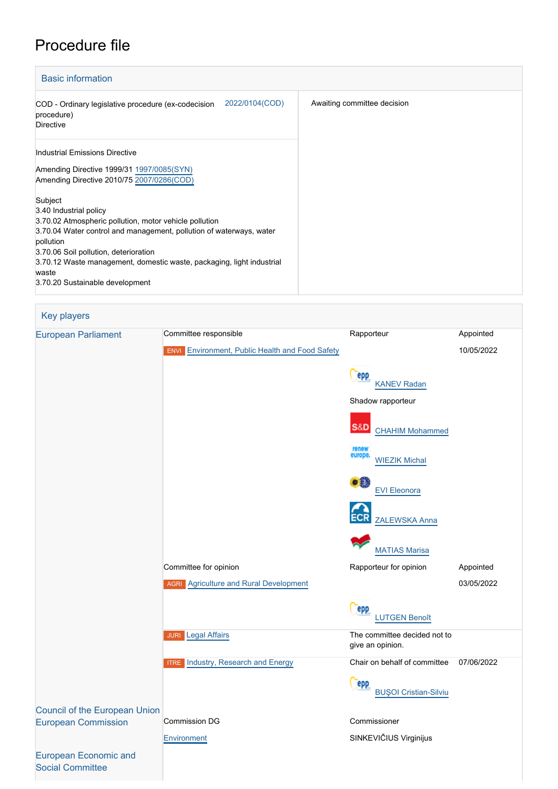# Procedure file

[Social Committee](http://www.eesc.europa.eu/)

| <b>Basic information</b>    |  |  |  |  |
|-----------------------------|--|--|--|--|
| Awaiting committee decision |  |  |  |  |
|                             |  |  |  |  |
|                             |  |  |  |  |
|                             |  |  |  |  |
|                             |  |  |  |  |
|                             |  |  |  |  |
|                             |  |  |  |  |
|                             |  |  |  |  |
|                             |  |  |  |  |
|                             |  |  |  |  |
|                             |  |  |  |  |

# Key players [European Parliament](http://www.europarl.europa.eu/) Committee responsible **Committee Rapporteur** Rapporteur Appointed 10/05/2022 **ENVI** [Environment, Public Health and Food Safety](http://www.europarl.europa.eu/committees/en/envi/home.html) **Cepp**  [KANEV Radan](http://www.europarl.europa.eu/meps/en/197839) Shadow rapporteur **S&D**  [CHAHIM Mohammed](http://www.europarl.europa.eu/meps/en/197782) [WIEZIK Michal](http://www.europarl.europa.eu/meps/en/197769) [EVI Eleonora](http://www.europarl.europa.eu/meps/en/124779) [ZALEWSKA Anna](http://www.europarl.europa.eu/meps/en/197572) [MATIAS Marisa](http://www.europarl.europa.eu/meps/en/96820) Committee for opinion **Committee for opinion** Rapporteur for opinion Appointed **AGRI** [Agriculture and Rural Development](http://www.europarl.europa.eu/committees/en/agri/home.html) 03/05/2022 epp [LUTGEN Benoît](http://www.europarl.europa.eu/meps/en/197458) JURI [Legal Affairs](http://www.europarl.europa.eu/committees/en/juri/home.html) The committee decided not to give an opinion. **ITRE** [Industry, Research and Energy](http://www.europarl.europa.eu/committees/en/itre/home.html) Chair on behalf of committee 07/06/2022 epp [BUŞOI Cristian-Silviu](http://www.europarl.europa.eu/meps/en/38420) [Council of the European Union](http://www.consilium.europa.eu) [European Commission](http://ec.europa.eu/) Commission DG Commissioner SINKEVIČIUS Virginijus [Environment](http://ec.europa.eu/info/departments/environment_en) [European Economic and](http://www.eesc.europa.eu/)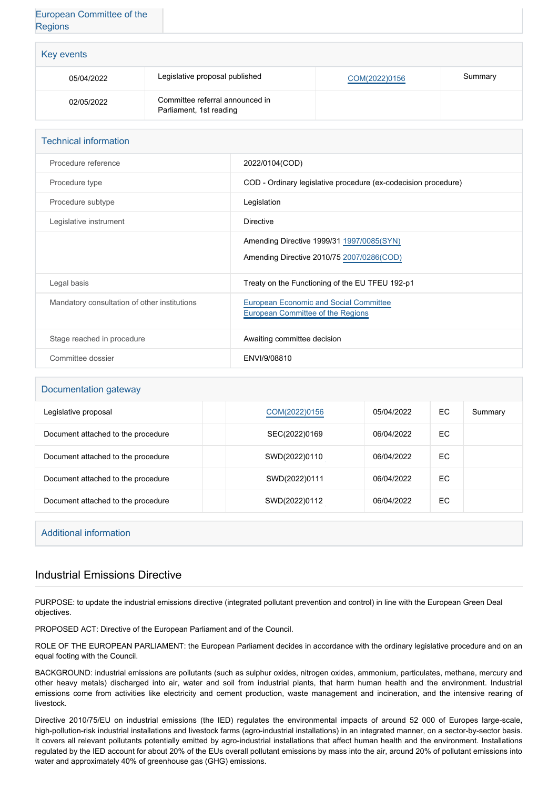# [European Committee of the](http://www.cor.europa.eu/) **[Regions](http://www.cor.europa.eu/)**

| Key events |                                                            |               |         |  |
|------------|------------------------------------------------------------|---------------|---------|--|
| 05/04/2022 | Legislative proposal published                             | COM(2022)0156 | Summary |  |
| 02/05/2022 | Committee referral announced in<br>Parliament, 1st reading |               |         |  |

| <b>Technical information</b>                 |                                                                             |  |  |  |
|----------------------------------------------|-----------------------------------------------------------------------------|--|--|--|
| Procedure reference                          | 2022/0104(COD)                                                              |  |  |  |
| Procedure type                               | COD - Ordinary legislative procedure (ex-codecision procedure)              |  |  |  |
| Procedure subtype                            | Legislation                                                                 |  |  |  |
| Legislative instrument                       | Directive                                                                   |  |  |  |
|                                              | Amending Directive 1999/31 1997/0085(SYN)                                   |  |  |  |
|                                              | Amending Directive 2010/75 2007/0286(COD)                                   |  |  |  |
| Legal basis                                  | Treaty on the Functioning of the EU TFEU 192-p1                             |  |  |  |
| Mandatory consultation of other institutions | European Economic and Social Committee<br>European Committee of the Regions |  |  |  |
| Stage reached in procedure                   | Awaiting committee decision                                                 |  |  |  |
| Committee dossier                            | ENVI/9/08810                                                                |  |  |  |

### Documentation gateway

| Legislative proposal               | COM(2022)0156 | 05/04/2022 | EC | Summary |
|------------------------------------|---------------|------------|----|---------|
| Document attached to the procedure | SEC(2022)0169 | 06/04/2022 | EC |         |
| Document attached to the procedure | SWD(2022)0110 | 06/04/2022 | EC |         |
| Document attached to the procedure | SWD(2022)0111 | 06/04/2022 | EC |         |
| Document attached to the procedure | SWD(2022)0112 | 06/04/2022 | EC |         |

## Additional information

# Industrial Emissions Directive

PURPOSE: to update the industrial emissions directive (integrated pollutant prevention and control) in line with the European Green Deal objectives.

PROPOSED ACT: Directive of the European Parliament and of the Council.

ROLE OF THE EUROPEAN PARLIAMENT: the European Parliament decides in accordance with the ordinary legislative procedure and on an equal footing with the Council.

BACKGROUND: industrial emissions are pollutants (such as sulphur oxides, nitrogen oxides, ammonium, particulates, methane, mercury and other heavy metals) discharged into air, water and soil from industrial plants, that harm human health and the environment. Industrial emissions come from activities like electricity and cement production, waste management and incineration, and the intensive rearing of livestock.

Directive 2010/75/EU on industrial emissions (the IED) regulates the environmental impacts of around 52 000 of Europes large-scale, high-pollution-risk industrial installations and livestock farms (agro-industrial installations) in an integrated manner, on a sector-by-sector basis. It covers all relevant pollutants potentially emitted by agro-industrial installations that affect human health and the environment. Installations regulated by the IED account for about 20% of the EUs overall pollutant emissions by mass into the air, around 20% of pollutant emissions into water and approximately 40% of greenhouse gas (GHG) emissions.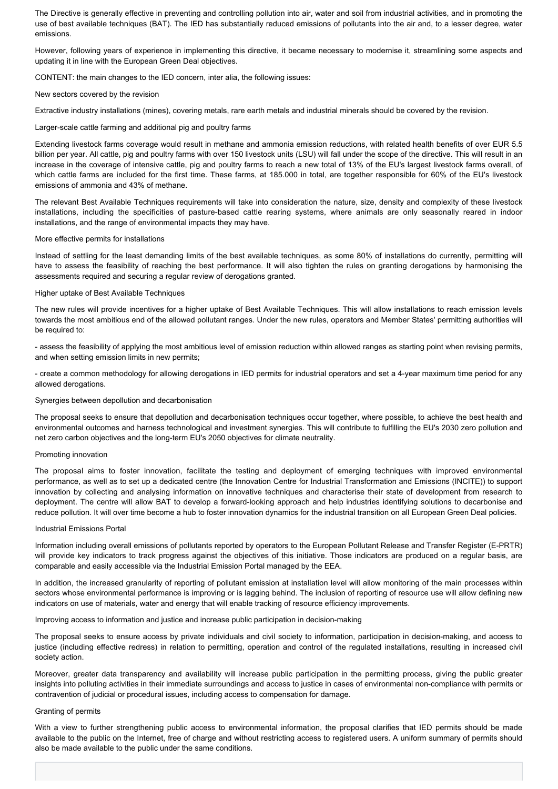The Directive is generally effective in preventing and controlling pollution into air, water and soil from industrial activities, and in promoting the use of best available techniques (BAT). The IED has substantially reduced emissions of pollutants into the air and, to a lesser degree, water emissions.

However, following years of experience in implementing this directive, it became necessary to modernise it, streamlining some aspects and updating it in line with the European Green Deal objectives.

CONTENT: the main changes to the IED concern, inter alia, the following issues:

#### New sectors covered by the revision

Extractive industry installations (mines), covering metals, rare earth metals and industrial minerals should be covered by the revision.

#### Larger-scale cattle farming and additional pig and poultry farms

Extending livestock farms coverage would result in methane and ammonia emission reductions, with related health benefits of over EUR 5.5 billion per year. All cattle, pig and poultry farms with over 150 livestock units (LSU) will fall under the scope of the directive. This will result in an increase in the coverage of intensive cattle, pig and poultry farms to reach a new total of 13% of the EU's largest livestock farms overall, of which cattle farms are included for the first time. These farms, at 185.000 in total, are together responsible for 60% of the EU's livestock emissions of ammonia and 43% of methane.

The relevant Best Available Techniques requirements will take into consideration the nature, size, density and complexity of these livestock installations, including the specificities of pasture-based cattle rearing systems, where animals are only seasonally reared in indoor installations, and the range of environmental impacts they may have.

#### More effective permits for installations

Instead of settling for the least demanding limits of the best available techniques, as some 80% of installations do currently, permitting will have to assess the feasibility of reaching the best performance. It will also tighten the rules on granting derogations by harmonising the assessments required and securing a regular review of derogations granted.

#### Higher uptake of Best Available Techniques

The new rules will provide incentives for a higher uptake of Best Available Techniques. This will allow installations to reach emission levels towards the most ambitious end of the allowed pollutant ranges. Under the new rules, operators and Member States' permitting authorities will be required to:

- assess the feasibility of applying the most ambitious level of emission reduction within allowed ranges as starting point when revising permits, and when setting emission limits in new permits;

- create a common methodology for allowing derogations in IED permits for industrial operators and set a 4-year maximum time period for any allowed derogations.

#### Synergies between depollution and decarbonisation

The proposal seeks to ensure that depollution and decarbonisation techniques occur together, where possible, to achieve the best health and environmental outcomes and harness technological and investment synergies. This will contribute to fulfilling the EU's 2030 zero pollution and net zero carbon objectives and the long-term EU's 2050 objectives for climate neutrality.

#### Promoting innovation

The proposal aims to foster innovation, facilitate the testing and deployment of emerging techniques with improved environmental performance, as well as to set up a dedicated centre (the Innovation Centre for Industrial Transformation and Emissions (INCITE)) to support innovation by collecting and analysing information on innovative techniques and characterise their state of development from research to deployment. The centre will allow BAT to develop a forward-looking approach and help industries identifying solutions to decarbonise and reduce pollution. It will over time become a hub to foster innovation dynamics for the industrial transition on all European Green Deal policies.

#### Industrial Emissions Portal

Information including overall emissions of pollutants reported by operators to the European Pollutant Release and Transfer Register (E-PRTR) will provide key indicators to track progress against the objectives of this initiative. Those indicators are produced on a regular basis, are comparable and easily accessible via the Industrial Emission Portal managed by the EEA.

In addition, the increased granularity of reporting of pollutant emission at installation level will allow monitoring of the main processes within sectors whose environmental performance is improving or is lagging behind. The inclusion of reporting of resource use will allow defining new indicators on use of materials, water and energy that will enable tracking of resource efficiency improvements.

Improving access to information and justice and increase public participation in decision-making

The proposal seeks to ensure access by private individuals and civil society to information, participation in decision-making, and access to justice (including effective redress) in relation to permitting, operation and control of the regulated installations, resulting in increased civil society action.

Moreover, greater data transparency and availability will increase public participation in the permitting process, giving the public greater insights into polluting activities in their immediate surroundings and access to justice in cases of environmental non-compliance with permits or contravention of judicial or procedural issues, including access to compensation for damage.

#### Granting of permits

With a view to further strengthening public access to environmental information, the proposal clarifies that IED permits should be made available to the public on the Internet, free of charge and without restricting access to registered users. A uniform summary of permits should also be made available to the public under the same conditions.